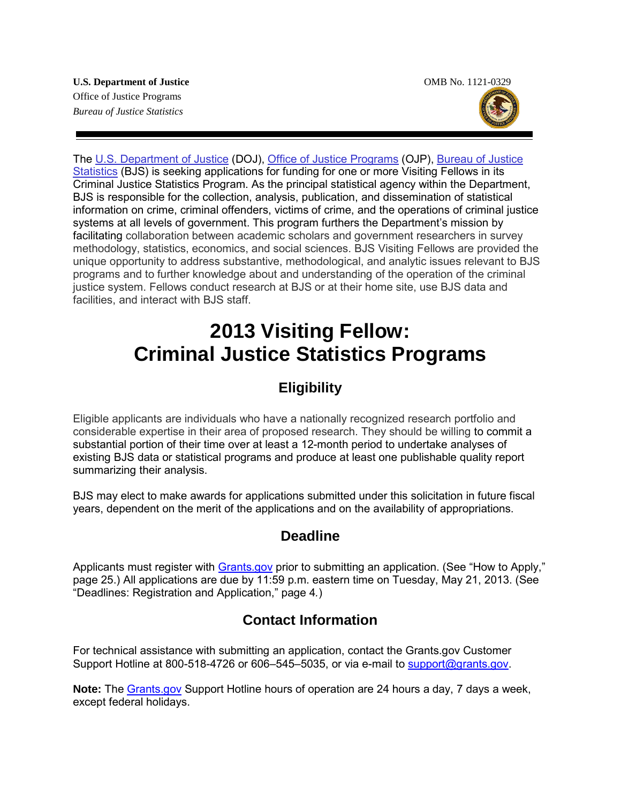

The [U.S. Department of Justice](http://www.usdoj.gov/) (DOJ), [Office of Justice Programs](http://www.ojp.gov/) (OJP), [Bureau of Justice](http://bjs.ojp.usdoj.gov/index.cfm)  [Statistics](http://bjs.ojp.usdoj.gov/index.cfm) (BJS) is seeking applications for funding for one or more Visiting Fellows in its Criminal Justice Statistics Program. As the principal statistical agency within the Department, BJS is responsible for the collection, analysis, publication, and dissemination of statistical information on crime, criminal offenders, victims of crime, and the operations of criminal justice systems at all levels of government. This program furthers the Department's mission by facilitating collaboration between academic scholars and government researchers in survey methodology, statistics, economics, and social sciences. BJS Visiting Fellows are provided the unique opportunity to address substantive, methodological, and analytic issues relevant to BJS programs and to further knowledge about and understanding of the operation of the criminal justice system. Fellows conduct research at BJS or at their home site, use BJS data and facilities, and interact with BJS staff.

# **2013 Visiting Fellow: Criminal Justice Statistics Programs**

# **Eligibility**

Eligible applicants are individuals who have a nationally recognized research portfolio and considerable expertise in their area of proposed research. They should be willing to commit a substantial portion of their time over at least a 12-month period to undertake analyses of existing BJS data or statistical programs and produce at least one publishable quality report summarizing their analysis.

BJS may elect to make awards for applications submitted under this solicitation in future fiscal years, dependent on the merit of the applications and on the availability of appropriations.

# **Deadline**

Applicants must register with **Grants.gov** prior to submitting an application. (See "How to Apply," page 25.) All applications are due by 11:59 p.m. eastern time on Tuesday, May 21, 2013. (See "Deadlines: Registration and Application," page 4*.*)

# **Contact Information**

For technical assistance with submitting an application, contact the Grants.gov Customer Support Hotline at 800-518-4726 or 606–545–5035, or via e-mail to [support@grants.gov.](mailto:support@grants.gov)

**Note:** The [Grants.gov](http://www.grants.gov/applicants/apply_for_grants.jsp) Support Hotline hours of operation are 24 hours a day, 7 days a week, except federal holidays.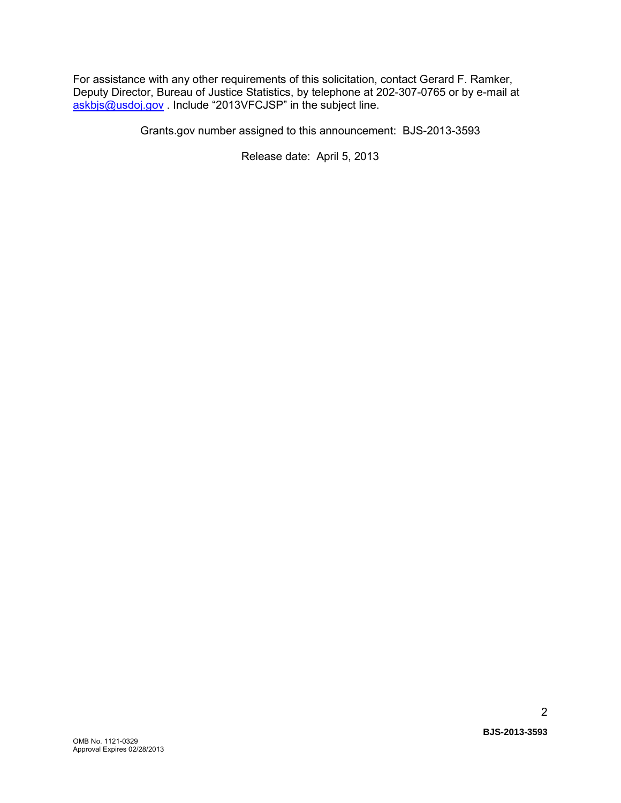For assistance with any other requirements of this solicitation, contact Gerard F. Ramker, Deputy Director, Bureau of Justice Statistics, by telephone at 202-307-0765 or by e-mail at [askbjs@usdoj.gov](mailto:askbjs@usdoj.gov?subject=2013VFCJSP) . Include "2013VFCJSP" in the subject line.

Grants.gov number assigned to this announcement: BJS-2013-3593

Release date: April 5, 2013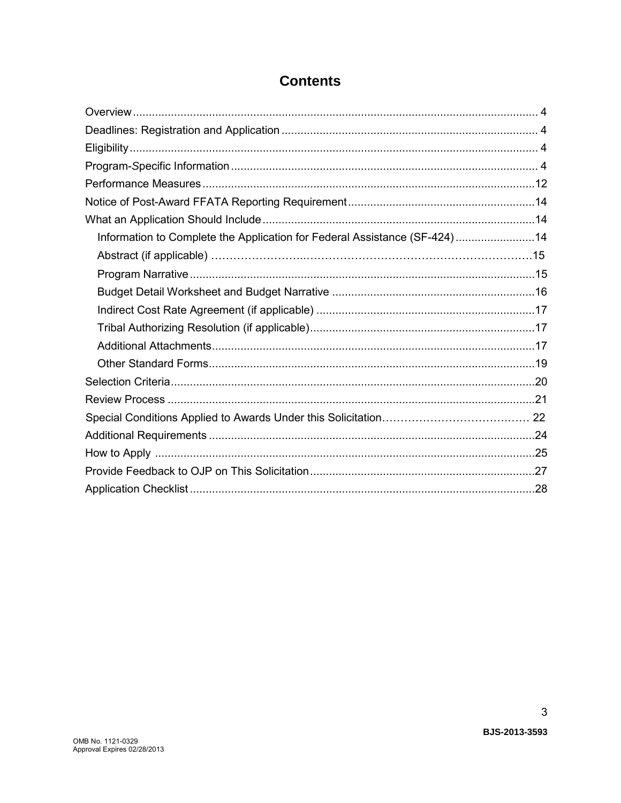| Information to Complete the Application for Federal Assistance (SF-424)14 |  |
|---------------------------------------------------------------------------|--|
| Abstract (if applicable) ………………………………………………………………………………………15              |  |
|                                                                           |  |
|                                                                           |  |
|                                                                           |  |
|                                                                           |  |
|                                                                           |  |
|                                                                           |  |
|                                                                           |  |
|                                                                           |  |
|                                                                           |  |
|                                                                           |  |
|                                                                           |  |
|                                                                           |  |
|                                                                           |  |

# **Contents**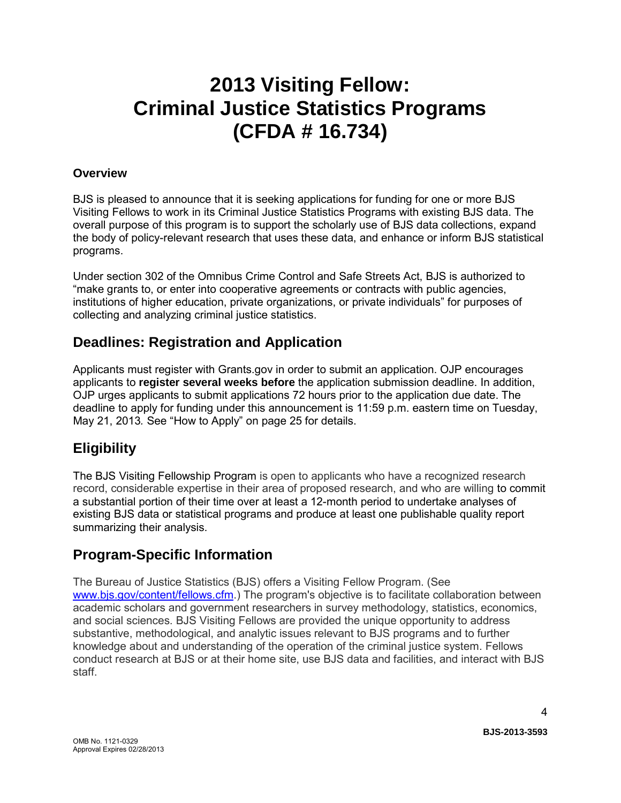# **2013 Visiting Fellow: Criminal Justice Statistics Programs (CFDA # 16.734)**

### **Overview**

BJS is pleased to announce that it is seeking applications for funding for one or more BJS Visiting Fellows to work in its Criminal Justice Statistics Programs with existing BJS data. The overall purpose of this program is to support the scholarly use of BJS data collections, expand the body of policy-relevant research that uses these data, and enhance or inform BJS statistical programs.

Under section 302 of the Omnibus Crime Control and Safe Streets Act, BJS is authorized to "make grants to, or enter into cooperative agreements or contracts with public agencies, institutions of higher education, private organizations, or private individuals" for purposes of collecting and analyzing criminal justice statistics.

# <span id="page-3-0"></span>**Deadlines: Registration and Application**

Applicants must register with Grants.gov in order to submit an application. OJP encourages applicants to **register several weeks before** the application submission deadline. In addition, OJP urges applicants to submit applications 72 hours prior to the application due date. The deadline to apply for funding under this announcement is 11:59 p.m. eastern time on Tuesday, May 21, 2013*.* See "How to Apply" on page 25 for details.

# **Eligibility**

The BJS Visiting Fellowship Program is open to applicants who have a recognized research record, considerable expertise in their area of proposed research, and who are willing to commit a substantial portion of their time over at least a 12-month period to undertake analyses of existing BJS data or statistical programs and produce at least one publishable quality report summarizing their analysis.

# **Program-Specific Information**

The Bureau of Justice Statistics (BJS) offers a Visiting Fellow Program. (See [www.bjs.gov/content/fellows.cfm.](http://bjs.gov/content/fellows.cfm)) The program's objective is to facilitate collaboration between academic scholars and government researchers in survey methodology, statistics, economics, and social sciences. BJS Visiting Fellows are provided the unique opportunity to address substantive, methodological, and analytic issues relevant to BJS programs and to further knowledge about and understanding of the operation of the criminal justice system. Fellows conduct research at BJS or at their home site, use BJS data and facilities, and interact with BJS staff.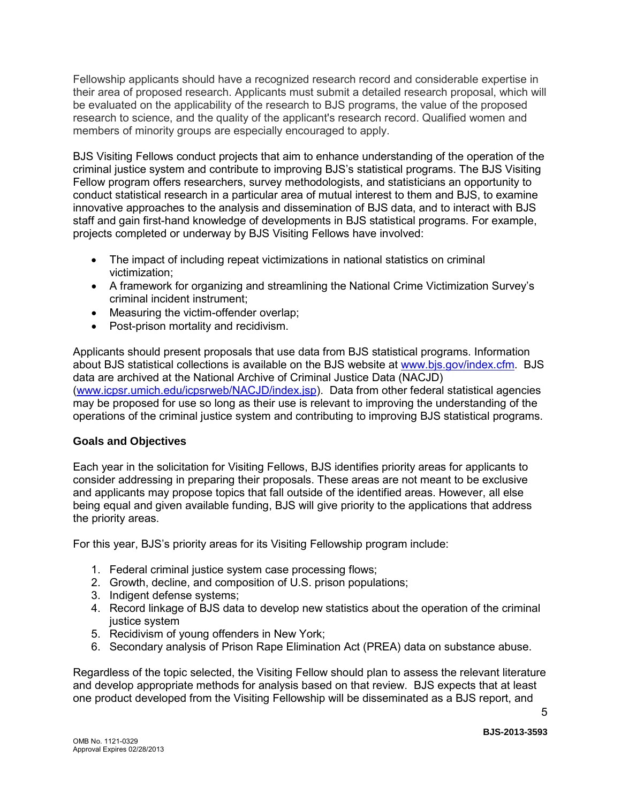Fellowship applicants should have a recognized research record and considerable expertise in their area of proposed research. Applicants must submit a detailed research proposal, which will be evaluated on the applicability of the research to BJS programs, the value of the proposed research to science, and the quality of the applicant's research record. Qualified women and members of minority groups are especially encouraged to apply.

BJS Visiting Fellows conduct projects that aim to enhance understanding of the operation of the criminal justice system and contribute to improving BJS's statistical programs. The BJS Visiting Fellow program offers researchers, survey methodologists, and statisticians an opportunity to conduct statistical research in a particular area of mutual interest to them and BJS, to examine innovative approaches to the analysis and dissemination of BJS data, and to interact with BJS staff and gain first-hand knowledge of developments in BJS statistical programs. For example, projects completed or underway by BJS Visiting Fellows have involved:

- The impact of including repeat victimizations in national statistics on criminal victimization;
- A framework for organizing and streamlining the National Crime Victimization Survey's criminal incident instrument;
- Measuring the victim-offender overlap;
- Post-prison mortality and recidivism.

Applicants should present proposals that use data from BJS statistical programs. Information about BJS statistical collections is available on the BJS website at [www.bjs.gov/index.cfm.](http://www.bjs.gov/index.cfm) BJS data are archived at the National Archive of Criminal Justice Data (NACJD) [\(www.icpsr.umich.edu/icpsrweb/NACJD/index.jsp\)](http://www.icpsr.umich.edu/icpsrweb/NACJD/index.jsp). Data from other federal statistical agencies may be proposed for use so long as their use is relevant to improving the understanding of the operations of the criminal justice system and contributing to improving BJS statistical programs.

#### **Goals and Objectives**

Each year in the solicitation for Visiting Fellows, BJS identifies priority areas for applicants to consider addressing in preparing their proposals. These areas are not meant to be exclusive and applicants may propose topics that fall outside of the identified areas. However, all else being equal and given available funding, BJS will give priority to the applications that address the priority areas.

For this year, BJS's priority areas for its Visiting Fellowship program include:

- 1. Federal criminal justice system case processing flows;
- 2. Growth, decline, and composition of U.S. prison populations;
- 3. Indigent defense systems;
- 4. Record linkage of BJS data to develop new statistics about the operation of the criminal justice system
- 5. Recidivism of young offenders in New York;
- 6. Secondary analysis of Prison Rape Elimination Act (PREA) data on substance abuse.

Regardless of the topic selected, the Visiting Fellow should plan to assess the relevant literature and develop appropriate methods for analysis based on that review. BJS expects that at least one product developed from the Visiting Fellowship will be disseminated as a BJS report, and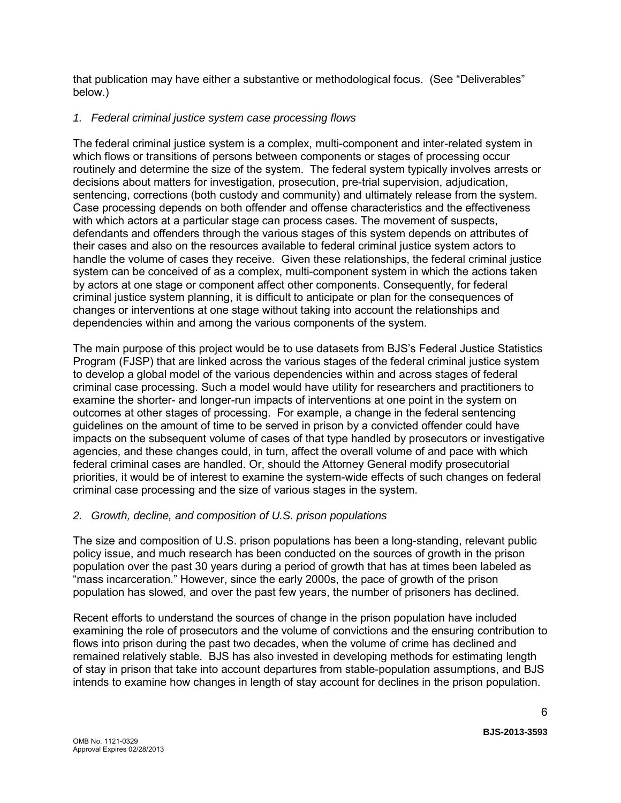that publication may have either a substantive or methodological focus. (See "Deliverables" below.)

### *1. Federal criminal justice system case processing flows*

The federal criminal justice system is a complex, multi-component and inter-related system in which flows or transitions of persons between components or stages of processing occur routinely and determine the size of the system. The federal system typically involves arrests or decisions about matters for investigation, prosecution, pre-trial supervision, adjudication, sentencing, corrections (both custody and community) and ultimately release from the system. Case processing depends on both offender and offense characteristics and the effectiveness with which actors at a particular stage can process cases. The movement of suspects, defendants and offenders through the various stages of this system depends on attributes of their cases and also on the resources available to federal criminal justice system actors to handle the volume of cases they receive. Given these relationships, the federal criminal justice system can be conceived of as a complex, multi-component system in which the actions taken by actors at one stage or component affect other components. Consequently, for federal criminal justice system planning, it is difficult to anticipate or plan for the consequences of changes or interventions at one stage without taking into account the relationships and dependencies within and among the various components of the system.

The main purpose of this project would be to use datasets from BJS's Federal Justice Statistics Program (FJSP) that are linked across the various stages of the federal criminal justice system to develop a global model of the various dependencies within and across stages of federal criminal case processing. Such a model would have utility for researchers and practitioners to examine the shorter- and longer-run impacts of interventions at one point in the system on outcomes at other stages of processing. For example, a change in the federal sentencing guidelines on the amount of time to be served in prison by a convicted offender could have impacts on the subsequent volume of cases of that type handled by prosecutors or investigative agencies, and these changes could, in turn, affect the overall volume of and pace with which federal criminal cases are handled. Or, should the Attorney General modify prosecutorial priorities, it would be of interest to examine the system-wide effects of such changes on federal criminal case processing and the size of various stages in the system.

### *2. Growth, decline, and composition of U.S. prison populations*

The size and composition of U.S. prison populations has been a long-standing, relevant public policy issue, and much research has been conducted on the sources of growth in the prison population over the past 30 years during a period of growth that has at times been labeled as "mass incarceration." However, since the early 2000s, the pace of growth of the prison population has slowed, and over the past few years, the number of prisoners has declined.

Recent efforts to understand the sources of change in the prison population have included examining the role of prosecutors and the volume of convictions and the ensuring contribution to flows into prison during the past two decades, when the volume of crime has declined and remained relatively stable. BJS has also invested in developing methods for estimating length of stay in prison that take into account departures from stable-population assumptions, and BJS intends to examine how changes in length of stay account for declines in the prison population.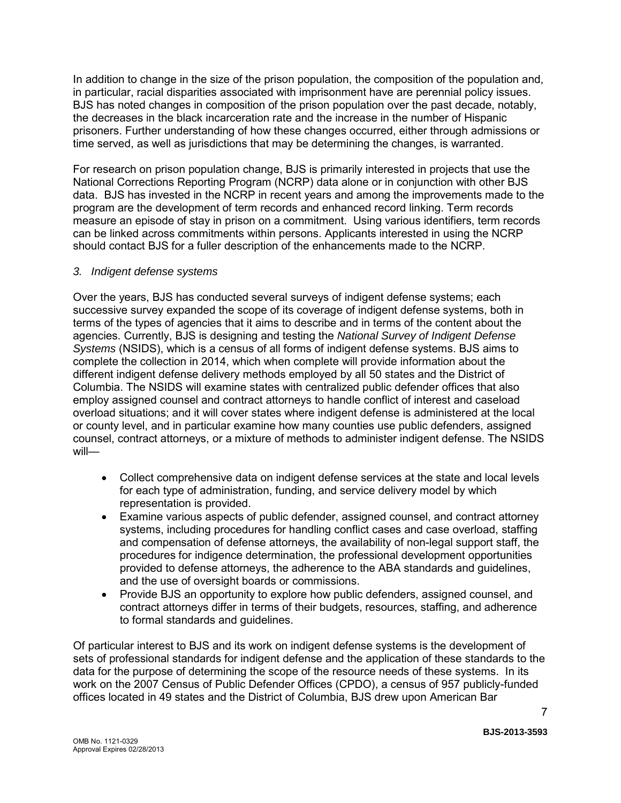In addition to change in the size of the prison population, the composition of the population and, in particular, racial disparities associated with imprisonment have are perennial policy issues. BJS has noted changes in composition of the prison population over the past decade, notably, the decreases in the black incarceration rate and the increase in the number of Hispanic prisoners. Further understanding of how these changes occurred, either through admissions or time served, as well as jurisdictions that may be determining the changes, is warranted.

For research on prison population change, BJS is primarily interested in projects that use the National Corrections Reporting Program (NCRP) data alone or in conjunction with other BJS data. BJS has invested in the NCRP in recent years and among the improvements made to the program are the development of term records and enhanced record linking. Term records measure an episode of stay in prison on a commitment. Using various identifiers, term records can be linked across commitments within persons. Applicants interested in using the NCRP should contact BJS for a fuller description of the enhancements made to the NCRP.

#### *3. Indigent defense systems*

Over the years, BJS has conducted several surveys of indigent defense systems; each successive survey expanded the scope of its coverage of indigent defense systems, both in terms of the types of agencies that it aims to describe and in terms of the content about the agencies. Currently, BJS is designing and testing the *National Survey of Indigent Defense Systems* (NSIDS), which is a census of all forms of indigent defense systems. BJS aims to complete the collection in 2014, which when complete will provide information about the different indigent defense delivery methods employed by all 50 states and the District of Columbia. The NSIDS will examine states with centralized public defender offices that also employ assigned counsel and contract attorneys to handle conflict of interest and caseload overload situations; and it will cover states where indigent defense is administered at the local or county level, and in particular examine how many counties use public defenders, assigned counsel, contract attorneys, or a mixture of methods to administer indigent defense. The NSIDS will—

- Collect comprehensive data on indigent defense services at the state and local levels for each type of administration, funding, and service delivery model by which representation is provided.
- Examine various aspects of public defender, assigned counsel, and contract attorney systems, including procedures for handling conflict cases and case overload, staffing and compensation of defense attorneys, the availability of non-legal support staff, the procedures for indigence determination, the professional development opportunities provided to defense attorneys, the adherence to the ABA standards and guidelines, and the use of oversight boards or commissions.
- Provide BJS an opportunity to explore how public defenders, assigned counsel, and contract attorneys differ in terms of their budgets, resources, staffing, and adherence to formal standards and guidelines.

Of particular interest to BJS and its work on indigent defense systems is the development of sets of professional standards for indigent defense and the application of these standards to the data for the purpose of determining the scope of the resource needs of these systems. In its work on the 2007 Census of Public Defender Offices (CPDO), a census of 957 publicly-funded offices located in 49 states and the District of Columbia, BJS drew upon American Bar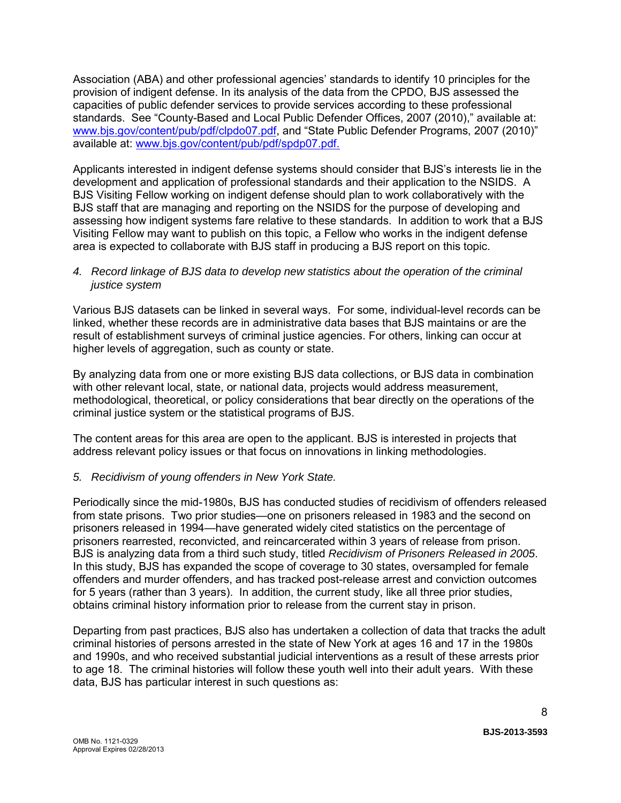Association (ABA) and other professional agencies' standards to identify 10 principles for the provision of indigent defense. In its analysis of the data from the CPDO, BJS assessed the capacities of public defender services to provide services according to these professional standards. See "County-Based and Local Public Defender Offices, 2007 (2010)," available at: [www.bjs.gov/content/pub/pdf/clpdo07.pdf,](http://www.bjs.gov/content/pub/pdf/clpdo07.pdf) and "State Public Defender Programs, 2007 (2010)" available at: [www.bjs.gov/content/pub/pdf/spdp07.pdf.](http://www.bjs.gov/content/pub/pdf/spdp07.pdf)

Applicants interested in indigent defense systems should consider that BJS's interests lie in the development and application of professional standards and their application to the NSIDS. A BJS Visiting Fellow working on indigent defense should plan to work collaboratively with the BJS staff that are managing and reporting on the NSIDS for the purpose of developing and assessing how indigent systems fare relative to these standards. In addition to work that a BJS Visiting Fellow may want to publish on this topic, a Fellow who works in the indigent defense area is expected to collaborate with BJS staff in producing a BJS report on this topic.

#### *4. Record linkage of BJS data to develop new statistics about the operation of the criminal justice system*

Various BJS datasets can be linked in several ways. For some, individual-level records can be linked, whether these records are in administrative data bases that BJS maintains or are the result of establishment surveys of criminal justice agencies. For others, linking can occur at higher levels of aggregation, such as county or state.

By analyzing data from one or more existing BJS data collections, or BJS data in combination with other relevant local, state, or national data, projects would address measurement, methodological, theoretical, or policy considerations that bear directly on the operations of the criminal justice system or the statistical programs of BJS.

The content areas for this area are open to the applicant. BJS is interested in projects that address relevant policy issues or that focus on innovations in linking methodologies.

### *5. Recidivism of young offenders in New York State.*

Periodically since the mid-1980s, BJS has conducted studies of recidivism of offenders released from state prisons. Two prior studies—one on prisoners released in 1983 and the second on prisoners released in 1994—have generated widely cited statistics on the percentage of prisoners rearrested, reconvicted, and reincarcerated within 3 years of release from prison. BJS is analyzing data from a third such study, titled *Recidivism of Prisoners Released in 2005*. In this study, BJS has expanded the scope of coverage to 30 states, oversampled for female offenders and murder offenders, and has tracked post-release arrest and conviction outcomes for 5 years (rather than 3 years). In addition, the current study, like all three prior studies, obtains criminal history information prior to release from the current stay in prison.

Departing from past practices, BJS also has undertaken a collection of data that tracks the adult criminal histories of persons arrested in the state of New York at ages 16 and 17 in the 1980s and 1990s, and who received substantial judicial interventions as a result of these arrests prior to age 18. The criminal histories will follow these youth well into their adult years. With these data, BJS has particular interest in such questions as: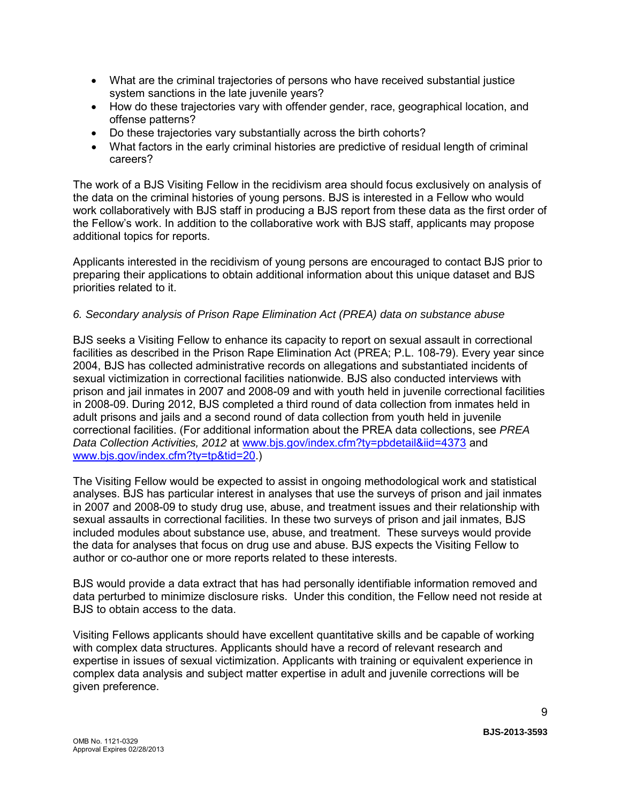- What are the criminal trajectories of persons who have received substantial justice system sanctions in the late juvenile years?
- How do these trajectories vary with offender gender, race, geographical location, and offense patterns?
- Do these trajectories vary substantially across the birth cohorts?
- What factors in the early criminal histories are predictive of residual length of criminal careers?

The work of a BJS Visiting Fellow in the recidivism area should focus exclusively on analysis of the data on the criminal histories of young persons. BJS is interested in a Fellow who would work collaboratively with BJS staff in producing a BJS report from these data as the first order of the Fellow's work. In addition to the collaborative work with BJS staff, applicants may propose additional topics for reports.

Applicants interested in the recidivism of young persons are encouraged to contact BJS prior to preparing their applications to obtain additional information about this unique dataset and BJS priorities related to it.

#### *6. Secondary analysis of Prison Rape Elimination Act (PREA) data on substance abuse*

BJS seeks a Visiting Fellow to enhance its capacity to report on sexual assault in correctional facilities as described in the Prison Rape Elimination Act (PREA; P.L. 108-79). Every year since 2004, BJS has collected administrative records on allegations and substantiated incidents of sexual victimization in correctional facilities nationwide. BJS also conducted interviews with prison and jail inmates in 2007 and 2008-09 and with youth held in juvenile correctional facilities in 2008-09. During 2012, BJS completed a third round of data collection from inmates held in adult prisons and jails and a second round of data collection from youth held in juvenile correctional facilities. (For additional information about the PREA data collections, see *PREA Data Collection Activities, 2012* at [www.bjs.gov/index.cfm?ty=pbdetail&iid=4373](http://bjs.gov/index.cfm?ty=pbdetail&iid=4373) and [www.bjs.gov/index.cfm?ty=tp&tid=20.](http://bjs.gov/index.cfm?ty=tp&tid=20))

The Visiting Fellow would be expected to assist in ongoing methodological work and statistical analyses. BJS has particular interest in analyses that use the surveys of prison and jail inmates in 2007 and 2008-09 to study drug use, abuse, and treatment issues and their relationship with sexual assaults in correctional facilities. In these two surveys of prison and jail inmates, BJS included modules about substance use, abuse, and treatment. These surveys would provide the data for analyses that focus on drug use and abuse. BJS expects the Visiting Fellow to author or co-author one or more reports related to these interests.

BJS would provide a data extract that has had personally identifiable information removed and data perturbed to minimize disclosure risks. Under this condition, the Fellow need not reside at BJS to obtain access to the data.

Visiting Fellows applicants should have excellent quantitative skills and be capable of working with complex data structures. Applicants should have a record of relevant research and expertise in issues of sexual victimization. Applicants with training or equivalent experience in complex data analysis and subject matter expertise in adult and juvenile corrections will be given preference.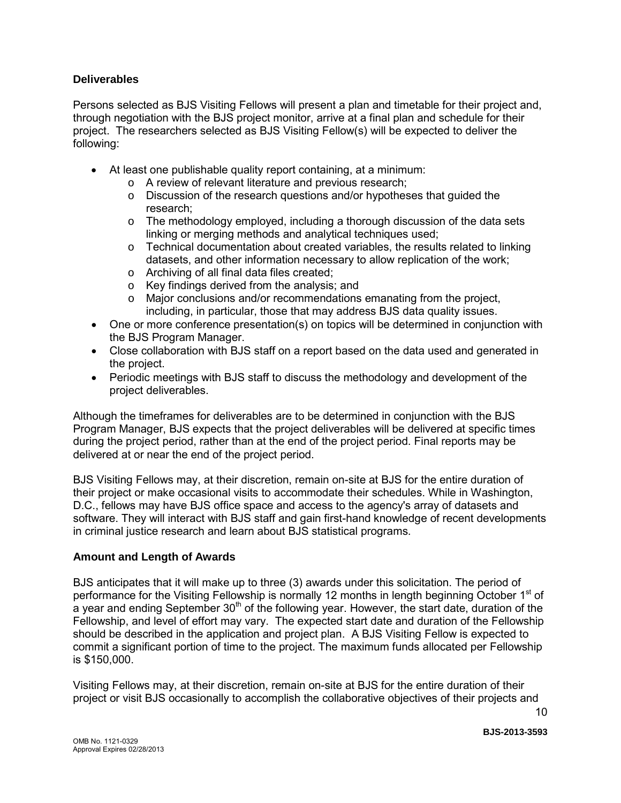#### **Deliverables**

Persons selected as BJS Visiting Fellows will present a plan and timetable for their project and, through negotiation with the BJS project monitor, arrive at a final plan and schedule for their project. The researchers selected as BJS Visiting Fellow(s) will be expected to deliver the following:

- At least one publishable quality report containing, at a minimum:
	- o A review of relevant literature and previous research;
	- o Discussion of the research questions and/or hypotheses that guided the research;
	- $\circ$  The methodology employed, including a thorough discussion of the data sets linking or merging methods and analytical techniques used;
	- $\circ$  Technical documentation about created variables, the results related to linking datasets, and other information necessary to allow replication of the work;
	- o Archiving of all final data files created;
	- $\circ$  Key findings derived from the analysis; and  $\circ$  Maior conclusions and/or recommendations
	- Major conclusions and/or recommendations emanating from the project, including, in particular, those that may address BJS data quality issues.
- One or more conference presentation(s) on topics will be determined in conjunction with the BJS Program Manager.
- Close collaboration with BJS staff on a report based on the data used and generated in the project.
- Periodic meetings with BJS staff to discuss the methodology and development of the project deliverables.

Although the timeframes for deliverables are to be determined in conjunction with the BJS Program Manager, BJS expects that the project deliverables will be delivered at specific times during the project period, rather than at the end of the project period. Final reports may be delivered at or near the end of the project period.

BJS Visiting Fellows may, at their discretion, remain on-site at BJS for the entire duration of their project or make occasional visits to accommodate their schedules. While in Washington, D.C., fellows may have BJS office space and access to the agency's array of datasets and software. They will interact with BJS staff and gain first-hand knowledge of recent developments in criminal justice research and learn about BJS statistical programs.

### **Amount and Length of Awards**

BJS anticipates that it will make up to three (3) awards under this solicitation. The period of performance for the Visiting Fellowship is normally 12 months in length beginning October  $1<sup>st</sup>$  of a vear and ending September  $30<sup>th</sup>$  of the following year. However, the start date, duration of the Fellowship, and level of effort may vary. The expected start date and duration of the Fellowship should be described in the application and project plan. A BJS Visiting Fellow is expected to commit a significant portion of time to the project. The maximum funds allocated per Fellowship is \$150,000.

Visiting Fellows may, at their discretion, remain on-site at BJS for the entire duration of their project or visit BJS occasionally to accomplish the collaborative objectives of their projects and

**BJS-2013-3593**

10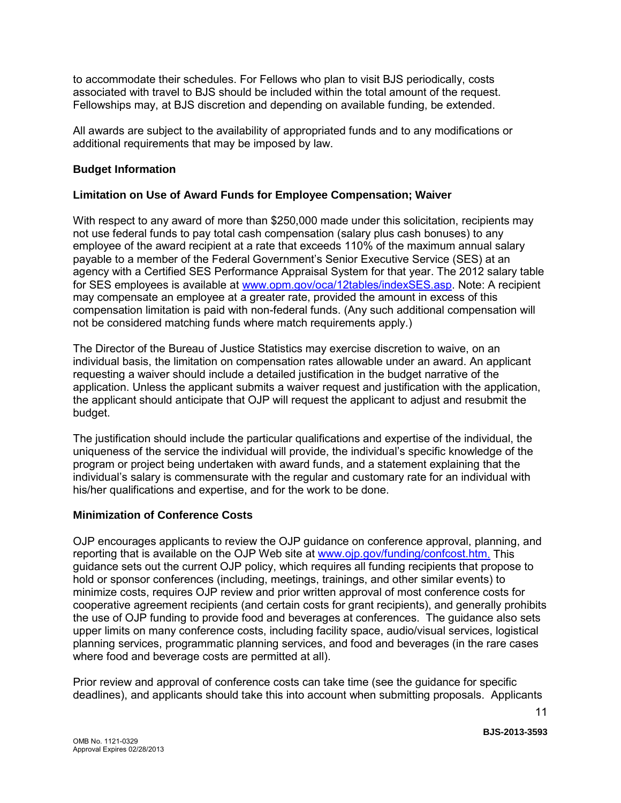to accommodate their schedules. For Fellows who plan to visit BJS periodically, costs associated with travel to BJS should be included within the total amount of the request. Fellowships may, at BJS discretion and depending on available funding, be extended.

All awards are subject to the availability of appropriated funds and to any modifications or additional requirements that may be imposed by law.

#### **Budget Information**

#### **Limitation on Use of Award Funds for Employee Compensation; Waiver**

With respect to any award of more than \$250,000 made under this solicitation, recipients may not use federal funds to pay total cash compensation (salary plus cash bonuses) to any employee of the award recipient at a rate that exceeds 110% of the maximum annual salary payable to a member of the Federal Government's Senior Executive Service (SES) at an agency with a Certified SES Performance Appraisal System for that year. The 2012 salary table for SES employees is available at [www.opm.gov/oca/12tables/indexSES.asp.](http://www.opm.gov/oca/12tables/indexSES.asp) Note: A recipient may compensate an employee at a greater rate, provided the amount in excess of this compensation limitation is paid with non-federal funds. (Any such additional compensation will not be considered matching funds where match requirements apply.)

The Director of the Bureau of Justice Statistics may exercise discretion to waive, on an individual basis, the limitation on compensation rates allowable under an award. An applicant requesting a waiver should include a detailed justification in the budget narrative of the application. Unless the applicant submits a waiver request and justification with the application, the applicant should anticipate that OJP will request the applicant to adjust and resubmit the budget.

The justification should include the particular qualifications and expertise of the individual, the uniqueness of the service the individual will provide, the individual's specific knowledge of the program or project being undertaken with award funds, and a statement explaining that the individual's salary is commensurate with the regular and customary rate for an individual with his/her qualifications and expertise, and for the work to be done.

#### **Minimization of Conference Costs**

OJP encourages applicants to review the OJP guidance on conference approval, planning, and reporting that is available on the OJP Web site at [www.ojp.gov/funding/confcost.htm.](http://www.ojp.gov/funding/confcost.htm) This guidance sets out the current OJP policy, which requires all funding recipients that propose to hold or sponsor conferences (including, meetings, trainings, and other similar events) to minimize costs, requires OJP review and prior written approval of most conference costs for cooperative agreement recipients (and certain costs for grant recipients), and generally prohibits the use of OJP funding to provide food and beverages at conferences. The guidance also sets upper limits on many conference costs, including facility space, audio/visual services, logistical planning services, programmatic planning services, and food and beverages (in the rare cases where food and beverage costs are permitted at all).

Prior review and approval of conference costs can take time (see the guidance for specific deadlines), and applicants should take this into account when submitting proposals. Applicants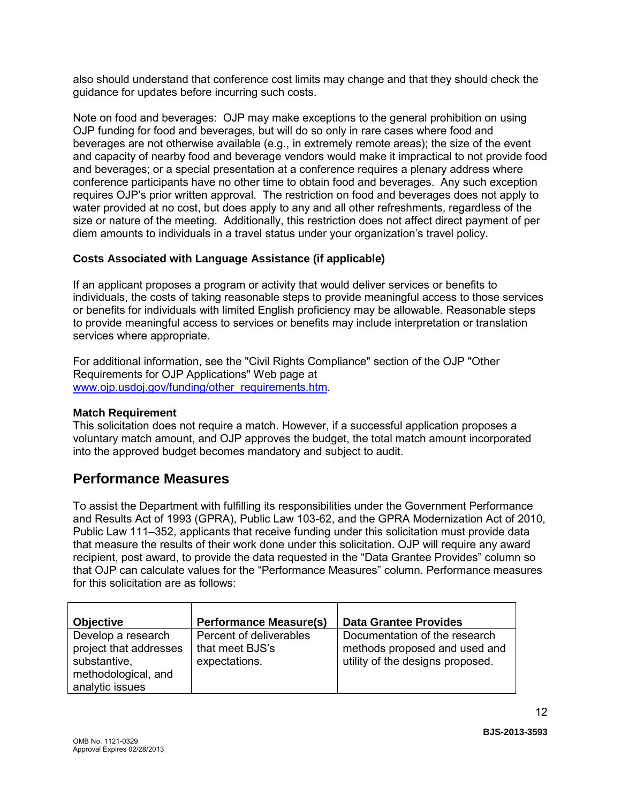also should understand that conference cost limits may change and that they should check the guidance for updates before incurring such costs.

Note on food and beverages: OJP may make exceptions to the general prohibition on using OJP funding for food and beverages, but will do so only in rare cases where food and beverages are not otherwise available (e.g., in extremely remote areas); the size of the event and capacity of nearby food and beverage vendors would make it impractical to not provide food and beverages; or a special presentation at a conference requires a plenary address where conference participants have no other time to obtain food and beverages. Any such exception requires OJP's prior written approval. The restriction on food and beverages does not apply to water provided at no cost, but does apply to any and all other refreshments, regardless of the size or nature of the meeting. Additionally, this restriction does not affect direct payment of per diem amounts to individuals in a travel status under your organization's travel policy.

### **Costs Associated with Language Assistance (if applicable)**

If an applicant proposes a program or activity that would deliver services or benefits to individuals, the costs of taking reasonable steps to provide meaningful access to those services or benefits for individuals with limited English proficiency may be allowable. Reasonable steps to provide meaningful access to services or benefits may include interpretation or translation services where appropriate.

For additional information, see the "Civil Rights Compliance" section of the OJP "Other Requirements for OJP Applications" Web page at [www.ojp.usdoj.gov/funding/other\\_requirements.htm.](http://www.ojp.usdoj.gov/funding/other_requirements.htm)

### **Match Requirement**

This solicitation does not require a match. However, if a successful application proposes a voluntary match amount, and OJP approves the budget, the total match amount incorporated into the approved budget becomes mandatory and subject to audit.

# <span id="page-11-0"></span>**Performance Measures**

To assist the Department with fulfilling its responsibilities under the Government Performance and Results Act of 1993 (GPRA), Public Law 103-62, and the GPRA Modernization Act of 2010, Public Law 111–352, applicants that receive funding under this solicitation must provide data that measure the results of their work done under this solicitation. OJP will require any award recipient, post award, to provide the data requested in the "Data Grantee Provides" column so that OJP can calculate values for the "Performance Measures" column. Performance measures for this solicitation are as follows:

| <b>Objective</b>                                                                                       | <b>Performance Measure(s)</b>                               | <b>Data Grantee Provides</b>                                                                       |
|--------------------------------------------------------------------------------------------------------|-------------------------------------------------------------|----------------------------------------------------------------------------------------------------|
| Develop a research<br>project that addresses<br>substantive,<br>methodological, and<br>analytic issues | Percent of deliverables<br>that meet BJS's<br>expectations. | Documentation of the research<br>methods proposed and used and<br>utility of the designs proposed. |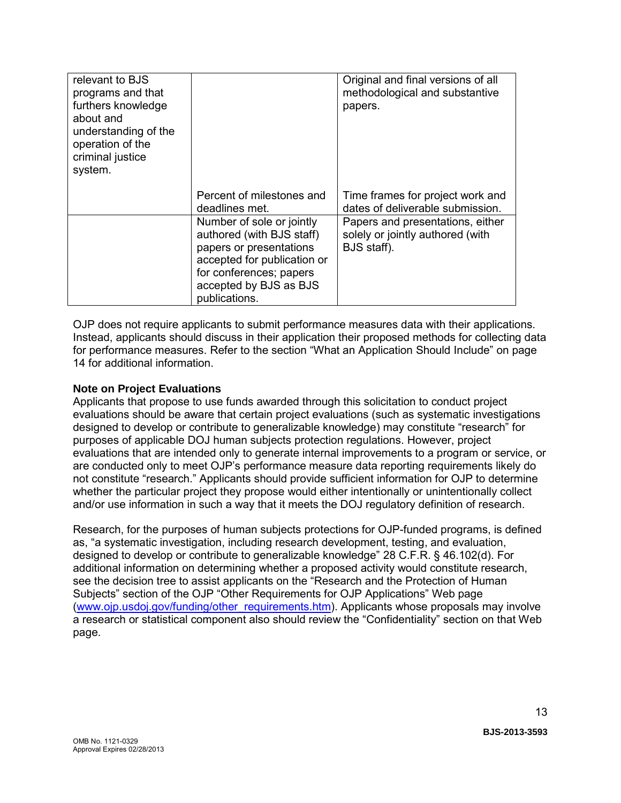| relevant to BJS<br>programs and that<br>furthers knowledge<br>about and<br>understanding of the<br>operation of the<br>criminal justice<br>system. |                                                                                                                                                                                        | Original and final versions of all<br>methodological and substantive<br>papers.     |
|----------------------------------------------------------------------------------------------------------------------------------------------------|----------------------------------------------------------------------------------------------------------------------------------------------------------------------------------------|-------------------------------------------------------------------------------------|
|                                                                                                                                                    | Percent of milestones and<br>deadlines met.                                                                                                                                            | Time frames for project work and<br>dates of deliverable submission.                |
|                                                                                                                                                    | Number of sole or jointly<br>authored (with BJS staff)<br>papers or presentations<br>accepted for publication or<br>for conferences; papers<br>accepted by BJS as BJS<br>publications. | Papers and presentations, either<br>solely or jointly authored (with<br>BJS staff). |

OJP does not require applicants to submit performance measures data with their applications. Instead, applicants should discuss in their application their proposed methods for collecting data for performance measures. Refer to the section "What an Application Should Include" on page 14 for additional information.

### **Note on Project Evaluations**

Applicants that propose to use funds awarded through this solicitation to conduct project evaluations should be aware that certain project evaluations (such as systematic investigations designed to develop or contribute to generalizable knowledge) may constitute "research" for purposes of applicable DOJ human subjects protection regulations. However, project evaluations that are intended only to generate internal improvements to a program or service, or are conducted only to meet OJP's performance measure data reporting requirements likely do not constitute "research." Applicants should provide sufficient information for OJP to determine whether the particular project they propose would either intentionally or unintentionally collect and/or use information in such a way that it meets the DOJ regulatory definition of research.

Research, for the purposes of human subjects protections for OJP-funded programs, is defined as, "a systematic investigation, including research development, testing, and evaluation, designed to develop or contribute to generalizable knowledge" 28 C.F.R. § 46.102(d). For additional information on determining whether a proposed activity would constitute research, see the decision tree to assist applicants on the "Research and the Protection of Human Subjects" section of the OJP "Other Requirements for OJP Applications" Web page [\(www.ojp.usdoj.gov/funding/other\\_requirements.htm\)](http://www.ojp.usdoj.gov/funding/other_requirements.htm). Applicants whose proposals may involve a research or statistical component also should review the "Confidentiality" section on that Web page.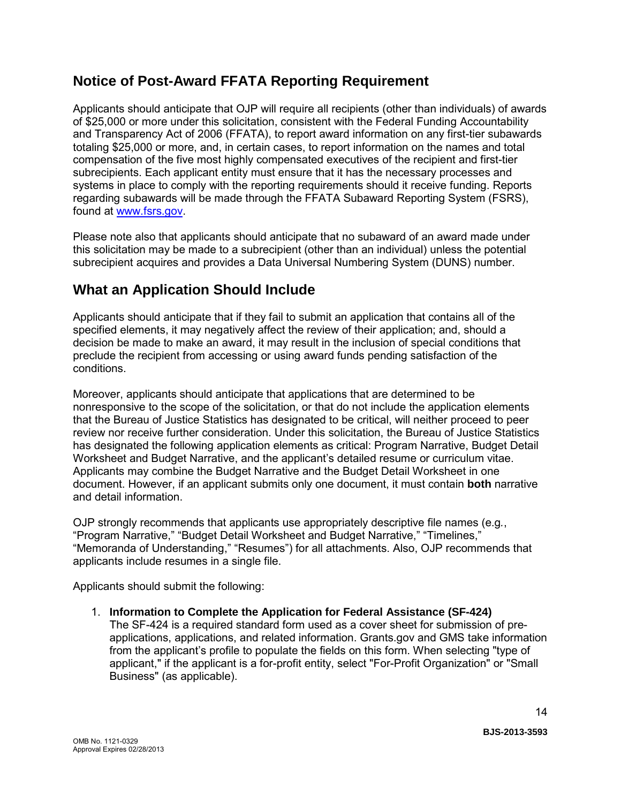# <span id="page-13-0"></span>**Notice of Post-Award FFATA Reporting Requirement**

Applicants should anticipate that OJP will require all recipients (other than individuals) of awards of \$25,000 or more under this solicitation, consistent with the Federal Funding Accountability and Transparency Act of 2006 (FFATA), to report award information on any first-tier subawards totaling \$25,000 or more, and, in certain cases, to report information on the names and total compensation of the five most highly compensated executives of the recipient and first-tier subrecipients. Each applicant entity must ensure that it has the necessary processes and systems in place to comply with the reporting requirements should it receive funding. Reports regarding subawards will be made through the FFATA Subaward Reporting System (FSRS), found at [www.fsrs.gov.](https://www.fsrs.gov/)

Please note also that applicants should anticipate that no subaward of an award made under this solicitation may be made to a subrecipient (other than an individual) unless the potential subrecipient acquires and provides a Data Universal Numbering System (DUNS) number.

# <span id="page-13-1"></span>**What an Application Should Include**

Applicants should anticipate that if they fail to submit an application that contains all of the specified elements, it may negatively affect the review of their application; and, should a decision be made to make an award, it may result in the inclusion of special conditions that preclude the recipient from accessing or using award funds pending satisfaction of the conditions.

Moreover, applicants should anticipate that applications that are determined to be nonresponsive to the scope of the solicitation, or that do not include the application elements that the Bureau of Justice Statistics has designated to be critical, will neither proceed to peer review nor receive further consideration. Under this solicitation, the Bureau of Justice Statistics has designated the following application elements as critical: Program Narrative, Budget Detail Worksheet and Budget Narrative, and the applicant's detailed resume or curriculum vitae. Applicants may combine the Budget Narrative and the Budget Detail Worksheet in one document. However, if an applicant submits only one document, it must contain **both** narrative and detail information.

OJP strongly recommends that applicants use appropriately descriptive file names (e.g*.*, "Program Narrative," "Budget Detail Worksheet and Budget Narrative," "Timelines," "Memoranda of Understanding," "Resumes") for all attachments. Also, OJP recommends that applicants include resumes in a single file.

Applicants should submit the following:

<span id="page-13-2"></span>1. **Information to Complete the Application for Federal Assistance (SF-424)**

The SF-424 is a required standard form used as a cover sheet for submission of preapplications, applications, and related information. Grants.gov and GMS take information from the applicant's profile to populate the fields on this form. When selecting "type of applicant," if the applicant is a for-profit entity, select "For-Profit Organization" or "Small Business" (as applicable).

**BJS-2013-3593**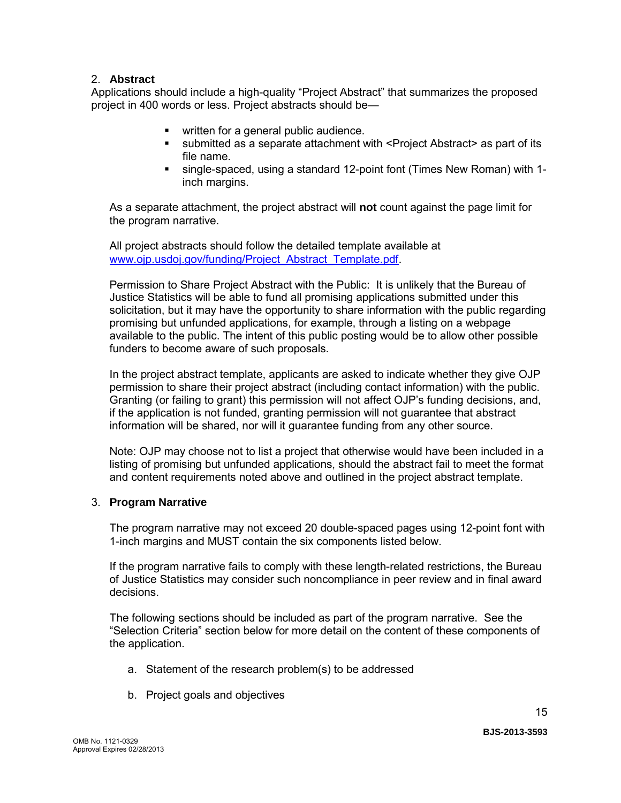#### 2. **Abstract**

Applications should include a high-quality "Project Abstract" that summarizes the proposed project in 400 words or less. Project abstracts should be—

- **•** written for a general public audience.
- submitted as a separate attachment with <Project Abstract> as part of its file name.
- single-spaced, using a standard 12-point font (Times New Roman) with 1 inch margins.

As a separate attachment, the project abstract will **not** count against the page limit for the program narrative.

All project abstracts should follow the detailed template available at [www.ojp.usdoj.gov/funding/Project\\_Abstract\\_Template.pdf.](http://www.ojp.usdoj.gov/funding/Project_Abstract_Template.pdf)

Permission to Share Project Abstract with the Public: It is unlikely that the Bureau of Justice Statistics will be able to fund all promising applications submitted under this solicitation, but it may have the opportunity to share information with the public regarding promising but unfunded applications, for example, through a listing on a webpage available to the public. The intent of this public posting would be to allow other possible funders to become aware of such proposals.

In the project abstract template, applicants are asked to indicate whether they give OJP permission to share their project abstract (including contact information) with the public. Granting (or failing to grant) this permission will not affect OJP's funding decisions, and, if the application is not funded, granting permission will not guarantee that abstract information will be shared, nor will it guarantee funding from any other source.

Note: OJP may choose not to list a project that otherwise would have been included in a listing of promising but unfunded applications, should the abstract fail to meet the format and content requirements noted above and outlined in the project abstract template.

#### <span id="page-14-0"></span>3. **Program Narrative**

The program narrative may not exceed 20 double-spaced pages using 12-point font with 1-inch margins and MUST contain the six components listed below.

If the program narrative fails to comply with these length-related restrictions, the Bureau of Justice Statistics may consider such noncompliance in peer review and in final award decisions.

The following sections should be included as part of the program narrative. See the "Selection Criteria" section below for more detail on the content of these components of the application.

- a. Statement of the research problem(s) to be addressed
- b. Project goals and objectives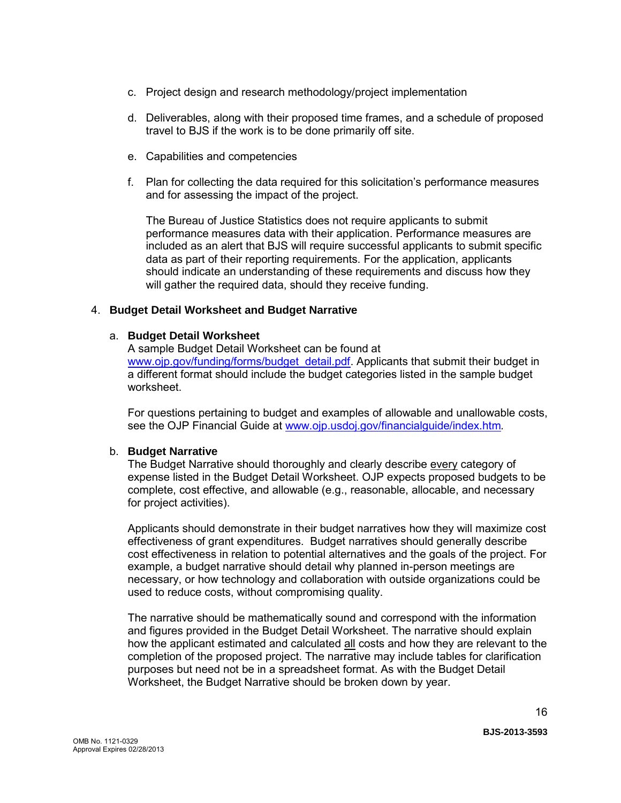- c. Project design and research methodology/project implementation
- d. Deliverables, along with their proposed time frames, and a schedule of proposed travel to BJS if the work is to be done primarily off site.
- e. Capabilities and competencies
- f. Plan for collecting the data required for this solicitation's performance measures and for assessing the impact of the project.

The Bureau of Justice Statistics does not require applicants to submit performance measures data with their application. Performance measures are included as an alert that BJS will require successful applicants to submit specific data as part of their reporting requirements. For the application, applicants should indicate an understanding of these requirements and discuss how they will gather the required data, should they receive funding.

#### <span id="page-15-0"></span>4. **Budget Detail Worksheet and Budget Narrative**

#### a. **Budget Detail Worksheet**

A sample Budget Detail Worksheet can be found at [www.ojp.gov/funding/forms/budget\\_detail.pdf.](http://www.ojp.gov/funding/forms/budget_detail.pdf) Applicants that submit their budget in a different format should include the budget categories listed in the sample budget worksheet.

For questions pertaining to budget and examples of allowable and unallowable costs, see the OJP Financial Guide at [www.ojp.usdoj.gov/financialguide/index.htm](http://www.ojp.usdoj.gov/financialguide/index.htm)*.*

#### b. **Budget Narrative**

The Budget Narrative should thoroughly and clearly describe every category of expense listed in the Budget Detail Worksheet. OJP expects proposed budgets to be complete, cost effective, and allowable (e.g., reasonable, allocable, and necessary for project activities).

Applicants should demonstrate in their budget narratives how they will maximize cost effectiveness of grant expenditures. Budget narratives should generally describe cost effectiveness in relation to potential alternatives and the goals of the project. For example, a budget narrative should detail why planned in-person meetings are necessary, or how technology and collaboration with outside organizations could be used to reduce costs, without compromising quality.

The narrative should be mathematically sound and correspond with the information and figures provided in the Budget Detail Worksheet. The narrative should explain how the applicant estimated and calculated all costs and how they are relevant to the completion of the proposed project. The narrative may include tables for clarification purposes but need not be in a spreadsheet format. As with the Budget Detail Worksheet, the Budget Narrative should be broken down by year.

**BJS-2013-3593**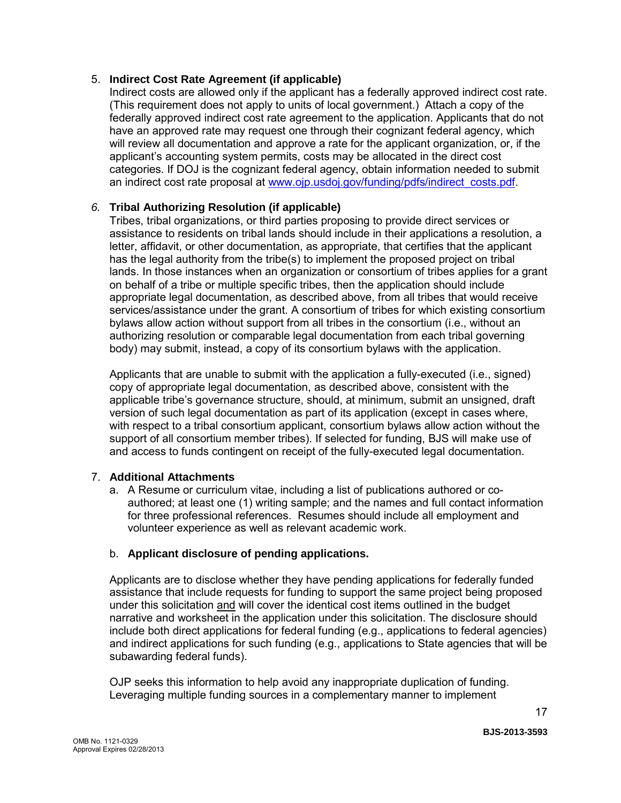#### <span id="page-16-0"></span>5. **Indirect Cost Rate Agreement (if applicable)**

Indirect costs are allowed only if the applicant has a federally approved indirect cost rate. (This requirement does not apply to units of local government.) Attach a copy of the federally approved indirect cost rate agreement to the application. Applicants that do not have an approved rate may request one through their cognizant federal agency, which will review all documentation and approve a rate for the applicant organization, or, if the applicant's accounting system permits, costs may be allocated in the direct cost categories. If DOJ is the cognizant federal agency, obtain information needed to submit an indirect cost rate proposal at [www.ojp.usdoj.gov/funding/pdfs/indirect\\_costs.pdf.](http://www.ojp.usdoj.gov/funding/pdfs/indirect_costs.pdf)

### <span id="page-16-1"></span>*6.* **Tribal Authorizing Resolution (if applicable)**

Tribes, tribal organizations, or third parties proposing to provide direct services or assistance to residents on tribal lands should include in their applications a resolution, a letter, affidavit, or other documentation, as appropriate, that certifies that the applicant has the legal authority from the tribe(s) to implement the proposed project on tribal lands. In those instances when an organization or consortium of tribes applies for a grant on behalf of a tribe or multiple specific tribes, then the application should include appropriate legal documentation, as described above, from all tribes that would receive services/assistance under the grant. A consortium of tribes for which existing consortium bylaws allow action without support from all tribes in the consortium (i.e., without an authorizing resolution or comparable legal documentation from each tribal governing body) may submit, instead, a copy of its consortium bylaws with the application.

Applicants that are unable to submit with the application a fully-executed (i.e., signed) copy of appropriate legal documentation, as described above, consistent with the applicable tribe's governance structure, should, at minimum, submit an unsigned, draft version of such legal documentation as part of its application (except in cases where, with respect to a tribal consortium applicant, consortium bylaws allow action without the support of all consortium member tribes). If selected for funding, BJS will make use of and access to funds contingent on receipt of the fully-executed legal documentation.

### <span id="page-16-2"></span>7. **Additional Attachments**

a. A Resume or curriculum vitae, including a list of publications authored or coauthored; at least one (1) writing sample; and the names and full contact information for three professional references. Resumes should include all employment and volunteer experience as well as relevant academic work.

### b. **Applicant disclosure of pending applications.**

Applicants are to disclose whether they have pending applications for federally funded assistance that include requests for funding to support the same project being proposed under this solicitation and will cover the identical cost items outlined in the budget narrative and worksheet in the application under this solicitation. The disclosure should include both direct applications for federal funding (e.g., applications to federal agencies) and indirect applications for such funding (e.g., applications to State agencies that will be subawarding federal funds).

OJP seeks this information to help avoid any inappropriate duplication of funding. Leveraging multiple funding sources in a complementary manner to implement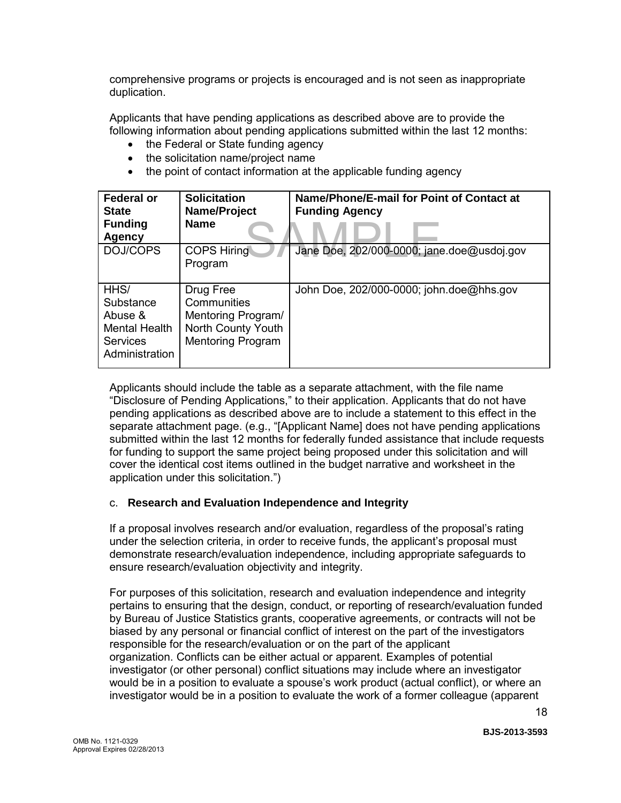comprehensive programs or projects is encouraged and is not seen as inappropriate duplication.

Applicants that have pending applications as described above are to provide the following information about pending applications submitted within the last 12 months:

- the Federal or State funding agency
- the solicitation name/project name
- the point of contact information at the applicable funding agency

| <b>Federal or</b><br><b>State</b><br><b>Funding</b><br>Agency                      | <b>Solicitation</b><br>Name/Project<br><b>Name</b>                                               | Name/Phone/E-mail for Point of Contact at<br><b>Funding Agency</b> |
|------------------------------------------------------------------------------------|--------------------------------------------------------------------------------------------------|--------------------------------------------------------------------|
| DOJ/COPS                                                                           | <b>COPS Hiring</b><br>Program                                                                    | Jane Doe, 202/000-0000; jane.doe@usdoj.gov                         |
| HHS/<br>Substance<br>Abuse &<br>Mental Health<br><b>Services</b><br>Administration | Drug Free<br>Communities<br>Mentoring Program/<br>North County Youth<br><b>Mentoring Program</b> | John Doe, 202/000-0000; john.doe@hhs.gov                           |

Applicants should include the table as a separate attachment, with the file name "Disclosure of Pending Applications," to their application. Applicants that do not have pending applications as described above are to include a statement to this effect in the separate attachment page. (e.g., "[Applicant Name] does not have pending applications submitted within the last 12 months for federally funded assistance that include requests for funding to support the same project being proposed under this solicitation and will cover the identical cost items outlined in the budget narrative and worksheet in the application under this solicitation.")

#### c. **Research and Evaluation Independence and Integrity**

If a proposal involves research and/or evaluation, regardless of the proposal's rating under the selection criteria, in order to receive funds, the applicant's proposal must demonstrate research/evaluation independence, including appropriate safeguards to ensure research/evaluation objectivity and integrity.

For purposes of this solicitation, research and evaluation independence and integrity pertains to ensuring that the design, conduct, or reporting of research/evaluation funded by Bureau of Justice Statistics grants, cooperative agreements, or contracts will not be biased by any personal or financial conflict of interest on the part of the investigators responsible for the research/evaluation or on the part of the applicant organization. Conflicts can be either actual or apparent. Examples of potential investigator (or other personal) conflict situations may include where an investigator would be in a position to evaluate a spouse's work product (actual conflict), or where an investigator would be in a position to evaluate the work of a former colleague (apparent

**BJS-2013-3593**

18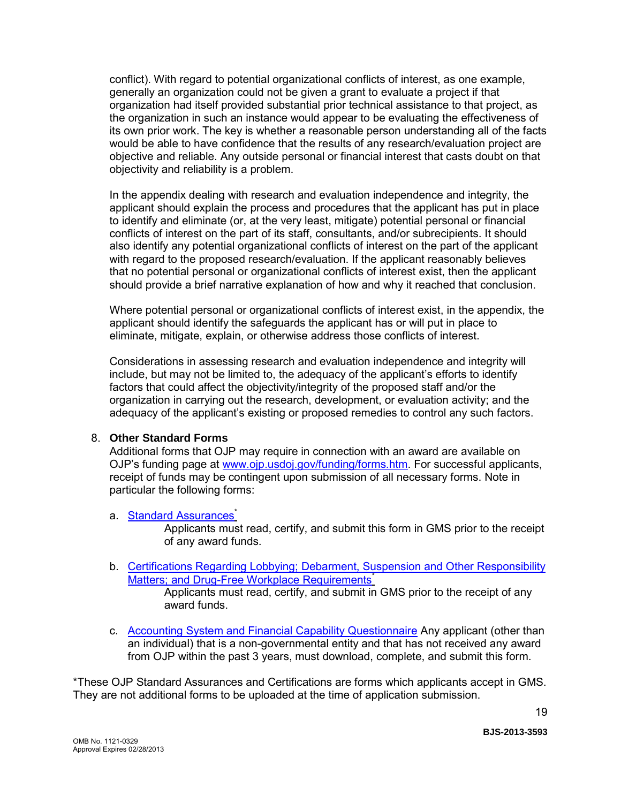conflict). With regard to potential organizational conflicts of interest, as one example, generally an organization could not be given a grant to evaluate a project if that organization had itself provided substantial prior technical assistance to that project, as the organization in such an instance would appear to be evaluating the effectiveness of its own prior work. The key is whether a reasonable person understanding all of the facts would be able to have confidence that the results of any research/evaluation project are objective and reliable. Any outside personal or financial interest that casts doubt on that objectivity and reliability is a problem.

In the appendix dealing with research and evaluation independence and integrity, the applicant should explain the process and procedures that the applicant has put in place to identify and eliminate (or, at the very least, mitigate) potential personal or financial conflicts of interest on the part of its staff, consultants, and/or subrecipients. It should also identify any potential organizational conflicts of interest on the part of the applicant with regard to the proposed research/evaluation. If the applicant reasonably believes that no potential personal or organizational conflicts of interest exist, then the applicant should provide a brief narrative explanation of how and why it reached that conclusion.

Where potential personal or organizational conflicts of interest exist, in the appendix, the applicant should identify the safeguards the applicant has or will put in place to eliminate, mitigate, explain, or otherwise address those conflicts of interest.

Considerations in assessing research and evaluation independence and integrity will include, but may not be limited to, the adequacy of the applicant's efforts to identify factors that could affect the objectivity/integrity of the proposed staff and/or the organization in carrying out the research, development, or evaluation activity; and the adequacy of the applicant's existing or proposed remedies to control any such factors.

#### <span id="page-18-0"></span>8. **Other Standard Forms**

Additional forms that OJP may require in connection with an award are available on OJP's funding page at [www.ojp.usdoj.gov/funding/forms.htm.](http://www.ojp.usdoj.gov/funding/forms.htm) For successful applicants, receipt of funds may be contingent upon submission of all necessary forms. Note in particular the following forms:

#### a. [Standard Assurances](http://www.ojp.usdoj.gov/funding/forms/std_assurances.pdf)<sup>\*</sup>

Applicants must read, certify, and submit this form in GMS prior to the receipt of any award funds.

- b. [Certifications Regarding Lobbying; Debarment, Suspension and Other Responsibility](http://www.ojp.usdoj.gov/funding/forms/certifications.pdf)  [Matters; and Drug-Free Workplace Requirements](http://www.ojp.usdoj.gov/funding/forms/certifications.pdf)<sup>\*</sup> Applicants must read, certify, and submit in GMS prior to the receipt of any award funds.
- c. [Accounting System and Financial Capability Questionnaire](http://www.ojp.usdoj.gov/funding/forms/financial_capability.pdf) Any applicant (other than an individual) that is a non-governmental entity and that has not received any award from OJP within the past 3 years, must download, complete, and submit this form.

\*These OJP Standard Assurances and Certifications are forms which applicants accept in GMS. They are not additional forms to be uploaded at the time of application submission.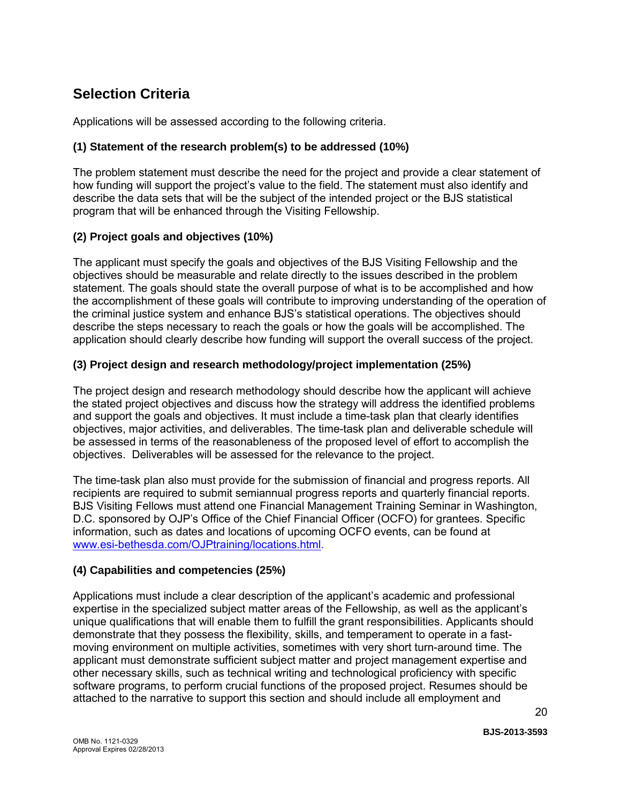# <span id="page-19-0"></span>**Selection Criteria**

Applications will be assessed according to the following criteria.

### **(1) Statement of the research problem(s) to be addressed (10%)**

The problem statement must describe the need for the project and provide a clear statement of how funding will support the project's value to the field. The statement must also identify and describe the data sets that will be the subject of the intended project or the BJS statistical program that will be enhanced through the Visiting Fellowship.

### **(2) Project goals and objectives (10%)**

The applicant must specify the goals and objectives of the BJS Visiting Fellowship and the objectives should be measurable and relate directly to the issues described in the problem statement. The goals should state the overall purpose of what is to be accomplished and how the accomplishment of these goals will contribute to improving understanding of the operation of the criminal justice system and enhance BJS's statistical operations. The objectives should describe the steps necessary to reach the goals or how the goals will be accomplished. The application should clearly describe how funding will support the overall success of the project.

### **(3) Project design and research methodology/project implementation (25%)**

The project design and research methodology should describe how the applicant will achieve the stated project objectives and discuss how the strategy will address the identified problems and support the goals and objectives. It must include a time-task plan that clearly identifies objectives, major activities, and deliverables. The time-task plan and deliverable schedule will be assessed in terms of the reasonableness of the proposed level of effort to accomplish the objectives. Deliverables will be assessed for the relevance to the project.

The time-task plan also must provide for the submission of financial and progress reports. All recipients are required to submit semiannual progress reports and quarterly financial reports. BJS Visiting Fellows must attend one Financial Management Training Seminar in Washington, D.C. sponsored by OJP's Office of the Chief Financial Officer (OCFO) for grantees. Specific information, such as dates and locations of upcoming OCFO events, can be found at [www.esi-bethesda.com/OJPtraining/locations.html.](http://www.esi-bethesda.com/OJPtraining/locations.html)

### **(4) Capabilities and competencies (25%)**

Applications must include a clear description of the applicant's academic and professional expertise in the specialized subject matter areas of the Fellowship, as well as the applicant's unique qualifications that will enable them to fulfill the grant responsibilities. Applicants should demonstrate that they possess the flexibility, skills, and temperament to operate in a fastmoving environment on multiple activities, sometimes with very short turn-around time. The applicant must demonstrate sufficient subject matter and project management expertise and other necessary skills, such as technical writing and technological proficiency with specific software programs, to perform crucial functions of the proposed project. Resumes should be attached to the narrative to support this section and should include all employment and

**BJS-2013-3593**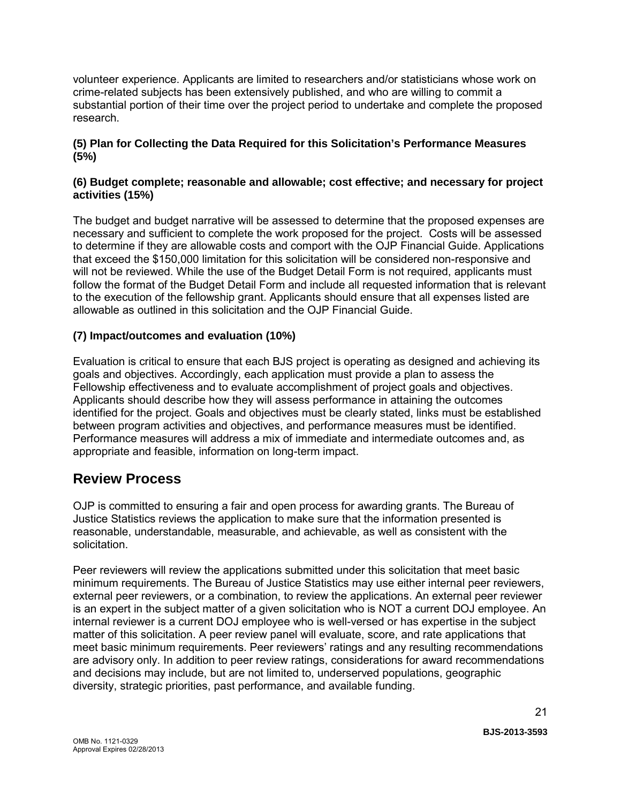volunteer experience. Applicants are limited to researchers and/or statisticians whose work on crime-related subjects has been extensively published, and who are willing to commit a substantial portion of their time over the project period to undertake and complete the proposed research.

#### **(5) Plan for Collecting the Data Required for this Solicitation's Performance Measures (5%)**

#### **(6) Budget complete; reasonable and allowable; cost effective; and necessary for project activities (15%)**

The budget and budget narrative will be assessed to determine that the proposed expenses are necessary and sufficient to complete the work proposed for the project. Costs will be assessed to determine if they are allowable costs and comport with the OJP Financial Guide. Applications that exceed the \$150,000 limitation for this solicitation will be considered non-responsive and will not be reviewed. While the use of the Budget Detail Form is not required, applicants must follow the format of the Budget Detail Form and include all requested information that is relevant to the execution of the fellowship grant. Applicants should ensure that all expenses listed are allowable as outlined in this solicitation and the OJP Financial Guide.

### **(7) Impact/outcomes and evaluation (10%)**

Evaluation is critical to ensure that each BJS project is operating as designed and achieving its goals and objectives. Accordingly, each application must provide a plan to assess the Fellowship effectiveness and to evaluate accomplishment of project goals and objectives. Applicants should describe how they will assess performance in attaining the outcomes identified for the project. Goals and objectives must be clearly stated, links must be established between program activities and objectives, and performance measures must be identified. Performance measures will address a mix of immediate and intermediate outcomes and, as appropriate and feasible, information on long-term impact.

## <span id="page-20-0"></span>**Review Process**

OJP is committed to ensuring a fair and open process for awarding grants. The Bureau of Justice Statistics reviews the application to make sure that the information presented is reasonable, understandable, measurable, and achievable, as well as consistent with the solicitation.

Peer reviewers will review the applications submitted under this solicitation that meet basic minimum requirements. The Bureau of Justice Statistics may use either internal peer reviewers, external peer reviewers, or a combination, to review the applications. An external peer reviewer is an expert in the subject matter of a given solicitation who is NOT a current DOJ employee. An internal reviewer is a current DOJ employee who is well-versed or has expertise in the subject matter of this solicitation. A peer review panel will evaluate, score, and rate applications that meet basic minimum requirements. Peer reviewers' ratings and any resulting recommendations are advisory only. In addition to peer review ratings, considerations for award recommendations and decisions may include, but are not limited to, underserved populations, geographic diversity, strategic priorities, past performance, and available funding.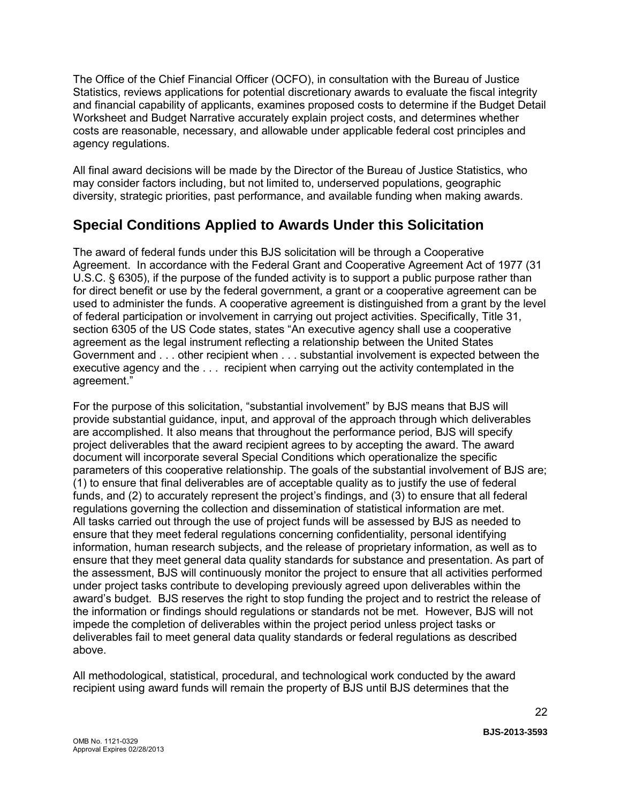The Office of the Chief Financial Officer (OCFO), in consultation with the Bureau of Justice Statistics, reviews applications for potential discretionary awards to evaluate the fiscal integrity and financial capability of applicants, examines proposed costs to determine if the Budget Detail Worksheet and Budget Narrative accurately explain project costs, and determines whether costs are reasonable, necessary, and allowable under applicable federal cost principles and agency regulations.

All final award decisions will be made by the Director of the Bureau of Justice Statistics, who may consider factors including, but not limited to, underserved populations, geographic diversity, strategic priorities, past performance, and available funding when making awards.

# **Special Conditions Applied to Awards Under this Solicitation**

The award of federal funds under this BJS solicitation will be through a Cooperative Agreement. In accordance with the Federal Grant and Cooperative Agreement Act of 1977 (31 U.S.C. § 6305), if the purpose of the funded activity is to support a public purpose rather than for direct benefit or use by the federal government, a grant or a cooperative agreement can be used to administer the funds. A cooperative agreement is distinguished from a grant by the level of federal participation or involvement in carrying out project activities. Specifically, Title 31, section 6305 of the US Code states, states "An executive agency shall use a cooperative agreement as the legal instrument reflecting a relationship between the United States Government and . . . other recipient when . . . substantial involvement is expected between the executive agency and the . . . recipient when carrying out the activity contemplated in the agreement."

For the purpose of this solicitation, "substantial involvement" by BJS means that BJS will provide substantial guidance, input, and approval of the approach through which deliverables are accomplished. It also means that throughout the performance period, BJS will specify project deliverables that the award recipient agrees to by accepting the award. The award document will incorporate several Special Conditions which operationalize the specific parameters of this cooperative relationship. The goals of the substantial involvement of BJS are; (1) to ensure that final deliverables are of acceptable quality as to justify the use of federal funds, and (2) to accurately represent the project's findings, and (3) to ensure that all federal regulations governing the collection and dissemination of statistical information are met. All tasks carried out through the use of project funds will be assessed by BJS as needed to ensure that they meet federal regulations concerning confidentiality, personal identifying information, human research subjects, and the release of proprietary information, as well as to ensure that they meet general data quality standards for substance and presentation. As part of the assessment, BJS will continuously monitor the project to ensure that all activities performed under project tasks contribute to developing previously agreed upon deliverables within the award's budget. BJS reserves the right to stop funding the project and to restrict the release of the information or findings should regulations or standards not be met. However, BJS will not impede the completion of deliverables within the project period unless project tasks or deliverables fail to meet general data quality standards or federal regulations as described above.

All methodological, statistical, procedural, and technological work conducted by the award recipient using award funds will remain the property of BJS until BJS determines that the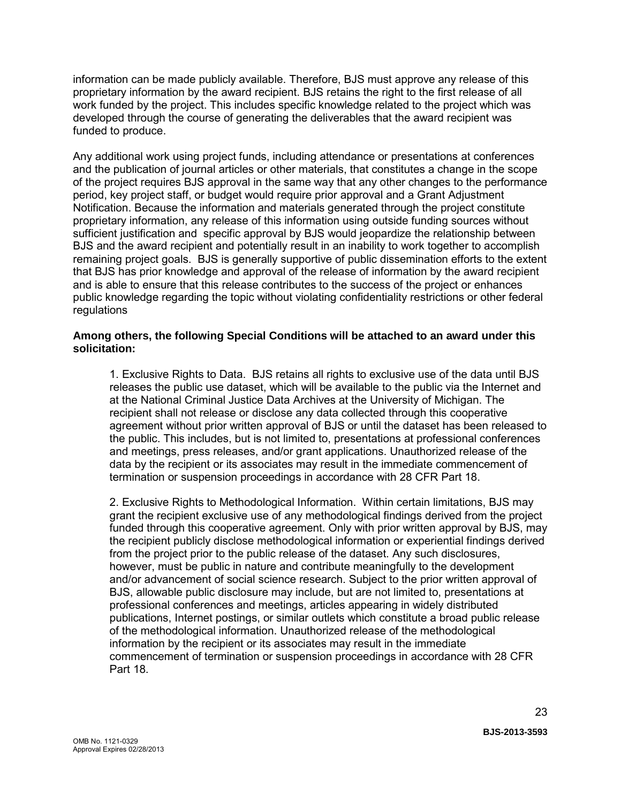information can be made publicly available. Therefore, BJS must approve any release of this proprietary information by the award recipient. BJS retains the right to the first release of all work funded by the project. This includes specific knowledge related to the project which was developed through the course of generating the deliverables that the award recipient was funded to produce.

Any additional work using project funds, including attendance or presentations at conferences and the publication of journal articles or other materials, that constitutes a change in the scope of the project requires BJS approval in the same way that any other changes to the performance period, key project staff, or budget would require prior approval and a Grant Adjustment Notification. Because the information and materials generated through the project constitute proprietary information, any release of this information using outside funding sources without sufficient justification and specific approval by BJS would jeopardize the relationship between BJS and the award recipient and potentially result in an inability to work together to accomplish remaining project goals. BJS is generally supportive of public dissemination efforts to the extent that BJS has prior knowledge and approval of the release of information by the award recipient and is able to ensure that this release contributes to the success of the project or enhances public knowledge regarding the topic without violating confidentiality restrictions or other federal regulations

#### **Among others, the following Special Conditions will be attached to an award under this solicitation:**

1. Exclusive Rights to Data. BJS retains all rights to exclusive use of the data until BJS releases the public use dataset, which will be available to the public via the Internet and at the National Criminal Justice Data Archives at the University of Michigan. The recipient shall not release or disclose any data collected through this cooperative agreement without prior written approval of BJS or until the dataset has been released to the public. This includes, but is not limited to, presentations at professional conferences and meetings, press releases, and/or grant applications. Unauthorized release of the data by the recipient or its associates may result in the immediate commencement of termination or suspension proceedings in accordance with 28 CFR Part 18.

2. Exclusive Rights to Methodological Information. Within certain limitations, BJS may grant the recipient exclusive use of any methodological findings derived from the project funded through this cooperative agreement. Only with prior written approval by BJS, may the recipient publicly disclose methodological information or experiential findings derived from the project prior to the public release of the dataset. Any such disclosures, however, must be public in nature and contribute meaningfully to the development and/or advancement of social science research. Subject to the prior written approval of BJS, allowable public disclosure may include, but are not limited to, presentations at professional conferences and meetings, articles appearing in widely distributed publications, Internet postings, or similar outlets which constitute a broad public release of the methodological information. Unauthorized release of the methodological information by the recipient or its associates may result in the immediate commencement of termination or suspension proceedings in accordance with 28 CFR Part 18.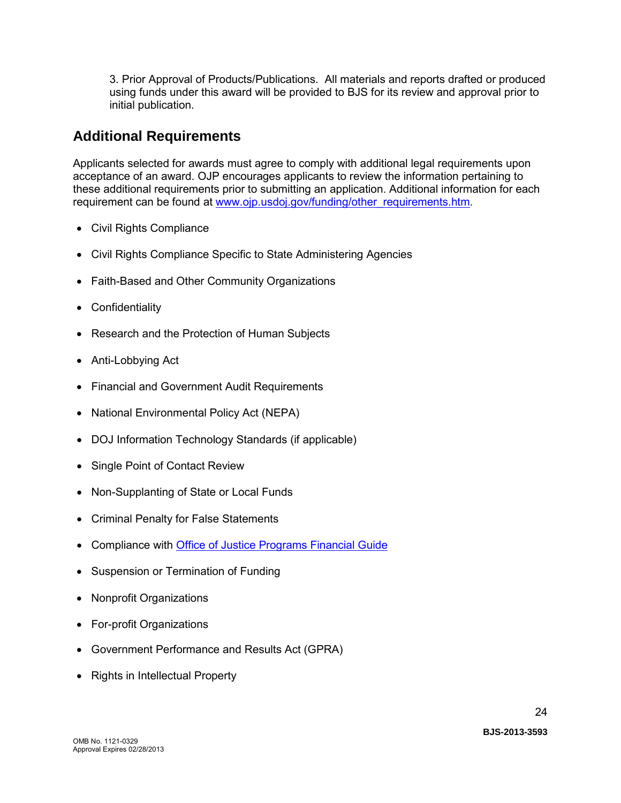3. Prior Approval of Products/Publications. All materials and reports drafted or produced using funds under this award will be provided to BJS for its review and approval prior to initial publication.

## <span id="page-23-0"></span>**Additional Requirements**

Applicants selected for awards must agree to comply with additional legal requirements upon acceptance of an award. OJP encourages applicants to review the information pertaining to these additional requirements prior to submitting an application. Additional information for each requirement can be found at [www.ojp.usdoj.gov/funding/other\\_requirements.htm.](http://www.ojp.usdoj.gov/funding/other_requirements.htm)

- [Civil Rights Compliance](http://www.ojp.usdoj.gov/about/ocr/statutes.htm)
- Civil Rights Compliance Specific to State Administering Agencies
- Faith-Based and Other Community Organizations
- Confidentiality
- Research and the Protection of Human Subjects
- Anti-Lobbying Act
- Financial and Government Audit Requirements
- National Environmental Policy Act (NEPA)
- DOJ Information Technology Standards (if applicable)
- Single Point of Contact Review
- Non-Supplanting of State or Local Funds
- Criminal Penalty for False Statements
- Compliance with **Office of Justice Programs Financial Guide**
- Suspension or Termination of Funding
- Nonprofit Organizations
- For-profit Organizations
- Government Performance and Results Act (GPRA)
- Rights in Intellectual Property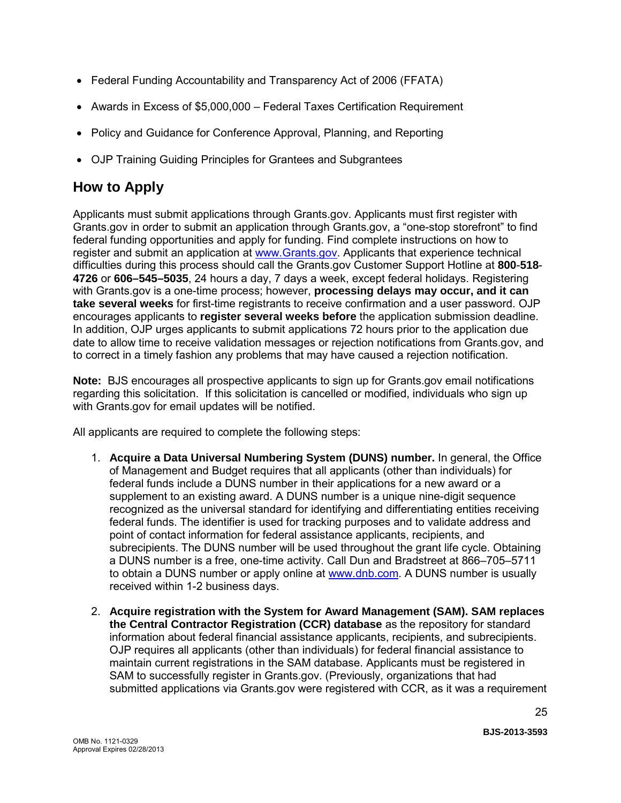- Federal Funding Accountability and Transparency Act of 2006 (FFATA)
- Awards in Excess of \$5,000,000 Federal Taxes Certification Requirement
- Policy and Guidance for Conference Approval, Planning, and Reporting
- OJP Training Guiding Principles for Grantees and Subgrantees

# <span id="page-24-0"></span>**How to Apply**

Applicants must submit applications through Grants.gov. Applicants must first register with Grants.gov in order to submit an application through Grants.gov, a "one-stop storefront" to find federal funding opportunities and apply for funding. Find complete instructions on how to register and submit an application at [www.Grants.gov.](http://www.grants.gov/) Applicants that experience technical difficulties during this process should call the Grants.gov Customer Support Hotline at **800**-**518**- **4726** or **606–545–5035**, 24 hours a day, 7 days a week, except federal holidays. Registering with Grants.gov is a one-time process; however, **processing delays may occur, and it can take several weeks** for first-time registrants to receive confirmation and a user password. OJP encourages applicants to **register several weeks before** the application submission deadline. In addition, OJP urges applicants to submit applications 72 hours prior to the application due date to allow time to receive validation messages or rejection notifications from Grants.gov, and to correct in a timely fashion any problems that may have caused a rejection notification.

**Note:** BJS encourages all prospective applicants to sign up for Grants.gov email notifications regarding this solicitation. If this solicitation is cancelled or modified, individuals who sign up with Grants.gov for email updates will be notified.

All applicants are required to complete the following steps:

- 1. **Acquire a Data Universal Numbering System (DUNS) number.** In general, the Office of Management and Budget requires that all applicants (other than individuals) for federal funds include a DUNS number in their applications for a new award or a supplement to an existing award. A DUNS number is a unique nine-digit sequence recognized as the universal standard for identifying and differentiating entities receiving federal funds. The identifier is used for tracking purposes and to validate address and point of contact information for federal assistance applicants, recipients, and subrecipients. The DUNS number will be used throughout the grant life cycle. Obtaining a DUNS number is a free, one-time activity. Call Dun and Bradstreet at 866–705–5711 to obtain a DUNS number or apply online at [www.dnb.com.](http://www.dnb.com/) A DUNS number is usually received within 1-2 business days.
- 2. **Acquire registration with the System for Award Management (SAM). SAM replaces the Central Contractor Registration (CCR) database** as the repository for standard information about federal financial assistance applicants, recipients, and subrecipients. OJP requires all applicants (other than individuals) for federal financial assistance to maintain current registrations in the SAM database. Applicants must be registered in SAM to successfully register in Grants.gov. (Previously, organizations that had submitted applications via Grants.gov were registered with CCR, as it was a requirement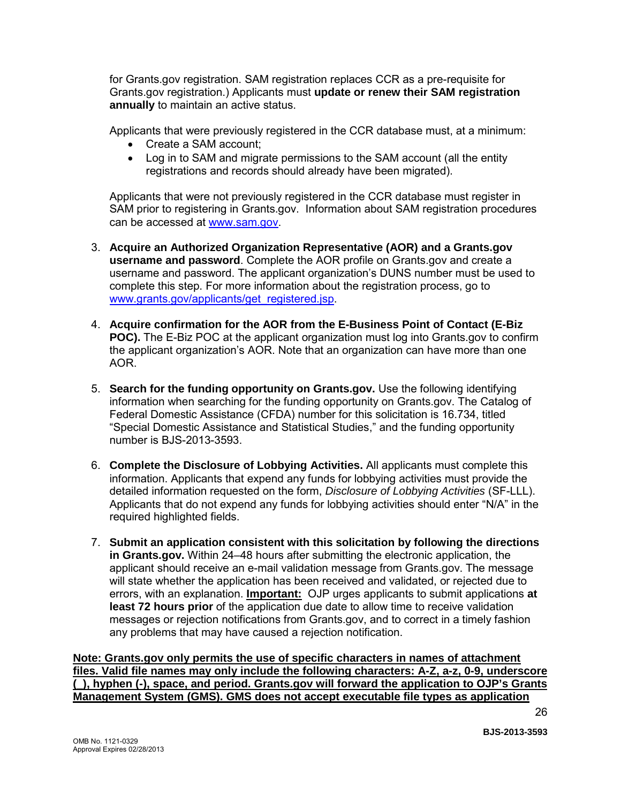for Grants.gov registration. SAM registration replaces CCR as a pre-requisite for Grants.gov registration.) Applicants must **update or renew their SAM registration annually** to maintain an active status.

Applicants that were previously registered in the CCR database must, at a minimum:

- Create a SAM account;
- Log in to SAM and migrate permissions to the SAM account (all the entity registrations and records should already have been migrated).

Applicants that were not previously registered in the CCR database must register in SAM prior to registering in Grants.gov. Information about SAM registration procedures can be accessed at [www.sam.gov.](https://www.sam.gov/portal/public/SAM/?portal:componentId=1f834b82-3fed-4eb3-a1f8-ea1f226a7955&portal:type=action&interactionstate=JBPNS_rO0ABXc0ABBfanNmQnJpZGdlVmlld0lkAAAAAQATL2pzZi9uYXZpZ2F0aW9uLmpzcAAHX19FT0ZfXw**)

- 3. **Acquire an Authorized Organization Representative (AOR) and a Grants.gov username and password**. Complete the AOR profile on Grants.gov and create a username and password. The applicant organization's DUNS number must be used to complete this step. For more information about the registration process, go to [www.grants.gov/applicants/get\\_registered.jsp.](http://www.grants.gov/applicants/get_registered.jsp)
- 4. **Acquire confirmation for the AOR from the E-Business Point of Contact (E-Biz POC).** The E-Biz POC at the applicant organization must log into Grants.gov to confirm the applicant organization's AOR. Note that an organization can have more than one AOR.
- 5. **Search for the funding opportunity on Grants.gov.** Use the following identifying information when searching for the funding opportunity on Grants.gov. The Catalog of Federal Domestic Assistance (CFDA) number for this solicitation is 16.734, titled "Special Domestic Assistance and Statistical Studies," and the funding opportunity number is BJS-2013-3593.
- 6. **Complete the Disclosure of Lobbying Activities.** All applicants must complete this information. Applicants that expend any funds for lobbying activities must provide the detailed information requested on the form, *Disclosure of Lobbying Activities* (SF-LLL). Applicants that do not expend any funds for lobbying activities should enter "N/A" in the required highlighted fields.
- 7. **Submit an application consistent with this solicitation by following the directions in Grants.gov.** Within 24–48 hours after submitting the electronic application, the applicant should receive an e-mail validation message from Grants.gov. The message will state whether the application has been received and validated, or rejected due to errors, with an explanation. **Important:** OJP urges applicants to submit applications **at least 72 hours prior** of the application due date to allow time to receive validation messages or rejection notifications from Grants.gov, and to correct in a timely fashion any problems that may have caused a rejection notification.

**Note: Grants.gov only permits the use of specific characters in names of attachment files. Valid file names may only include the following characters: A-Z, a-z, 0-9, underscore (\_), hyphen (-), space, and period. Grants.gov will forward the application to OJP's Grants Management System (GMS). GMS does not accept executable file types as application**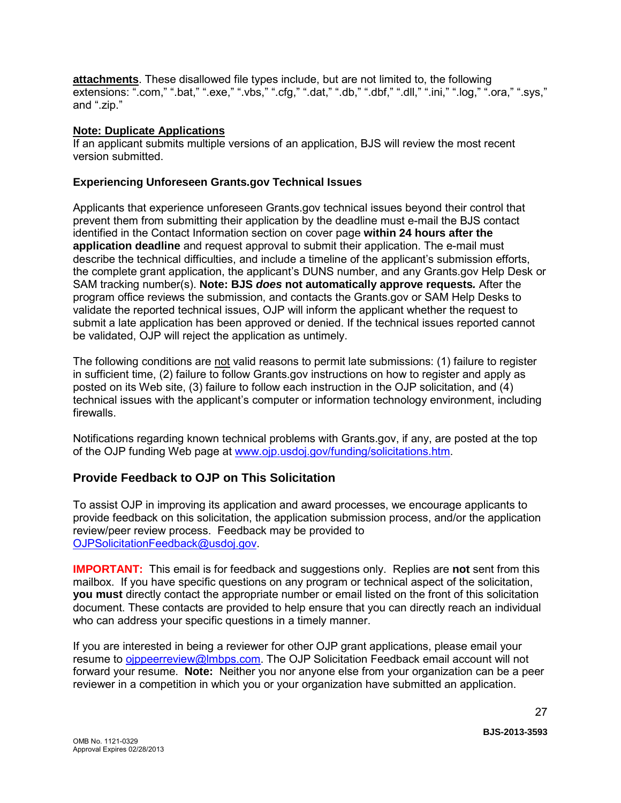**attachments**. These disallowed file types include, but are not limited to, the following extensions: ".com," ".bat," ".exe," ".vbs," ".cfg," ".dat," ".db," ".dbf," ".dll," ".ini," ".log," ".ora," ".sys," and ".zip."

#### **Note: Duplicate Applications**

If an applicant submits multiple versions of an application, BJS will review the most recent version submitted.

#### **Experiencing Unforeseen Grants.gov Technical Issues**

Applicants that experience unforeseen Grants.gov technical issues beyond their control that prevent them from submitting their application by the deadline must e-mail the BJS contact identified in the Contact Information section on cover page **within 24 hours after the application deadline** and request approval to submit their application. The e-mail must describe the technical difficulties, and include a timeline of the applicant's submission efforts, the complete grant application, the applicant's DUNS number, and any Grants.gov Help Desk or SAM tracking number(s). **Note: BJS** *does* **not automatically approve requests***.* After the program office reviews the submission, and contacts the Grants.gov or SAM Help Desks to validate the reported technical issues, OJP will inform the applicant whether the request to submit a late application has been approved or denied. If the technical issues reported cannot be validated, OJP will reject the application as untimely.

The following conditions are not valid reasons to permit late submissions: (1) failure to register in sufficient time, (2) failure to follow Grants.gov instructions on how to register and apply as posted on its Web site, (3) failure to follow each instruction in the OJP solicitation, and (4) technical issues with the applicant's computer or information technology environment, including firewalls.

Notifications regarding known technical problems with Grants.gov, if any, are posted at the top of the OJP funding Web page at [www.ojp.usdoj.gov/funding/solicitations.htm.](http://www.ojp.gov/funding/solicitations.htm)

### <span id="page-26-0"></span>**Provide Feedback to OJP on This Solicitation**

To assist OJP in improving its application and award processes, we encourage applicants to provide feedback on this solicitation, the application submission process, and/or the application review/peer review process. Feedback may be provided to [OJPSolicitationFeedback@usdoj.gov.](mailto:OJPSolicitationFeedback@usdoj.gov)

**IMPORTANT:** This email is for feedback and suggestions only. Replies are **not** sent from this mailbox. If you have specific questions on any program or technical aspect of the solicitation, **you must** directly contact the appropriate number or email listed on the front of this solicitation document. These contacts are provided to help ensure that you can directly reach an individual who can address your specific questions in a timely manner.

If you are interested in being a reviewer for other OJP grant applications, please email your resume to [ojppeerreview@lmbps.com.](mailto:ojppeerreview@lmbps.com) The OJP Solicitation Feedback email account will not forward your resume. **Note:** Neither you nor anyone else from your organization can be a peer reviewer in a competition in which you or your organization have submitted an application.